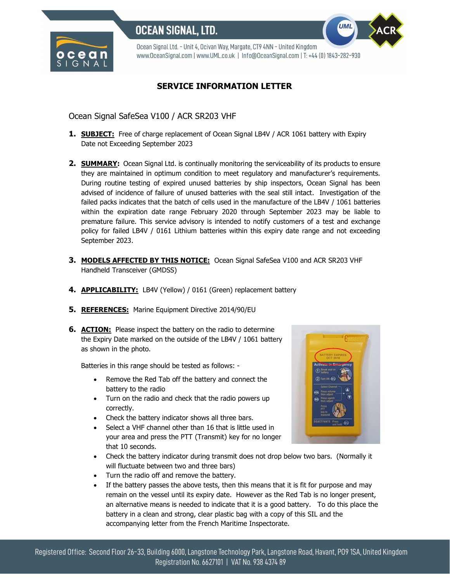

Ocean Signal Ltd. - Unit 4, Ocivan Way, Margate, CT9 4NN - United Kingdom www.OceanSignal.com | www.UML.co.uk | Info@OceanSignal.com | T: +44 (0) 1843-282-930

## SERVICE INFORMATION LETTER

Ocean Signal SafeSea V100 / ACR SR203 VHF

- 1. **SUBJECT:** Free of charge replacement of Ocean Signal LB4V / ACR 1061 battery with Expiry Date not Exceeding September 2023
- 2. **SUMMARY:** Ocean Signal Ltd. is continually monitoring the serviceability of its products to ensure they are maintained in optimum condition to meet regulatory and manufacturer's requirements. During routine testing of expired unused batteries by ship inspectors, Ocean Signal has been advised of incidence of failure of unused batteries with the seal still intact. Investigation of the failed packs indicates that the batch of cells used in the manufacture of the LB4V / 1061 batteries within the expiration date range February 2020 through September 2023 may be liable to premature failure. This service advisory is intended to notify customers of a test and exchange policy for failed LB4V / 0161 Lithium batteries within this expiry date range and not exceeding September 2023.
- **3. MODELS AFFECTED BY THIS NOTICE:** Ocean Signal SafeSea V100 and ACR SR203 VHF Handheld Transceiver (GMDSS)
- 4. **APPLICABILITY:** LB4V (Yellow) / 0161 (Green) replacement battery
- 5. REFERENCES: Marine Equipment Directive 2014/90/EU
- **6. ACTION:** Please inspect the battery on the radio to determine the Expiry Date marked on the outside of the LB4V / 1061 battery as shown in the photo.

Batteries in this range should be tested as follows: -

- Remove the Red Tab off the battery and connect the battery to the radio
- Turn on the radio and check that the radio powers up correctly.
- Check the battery indicator shows all three bars.
- Select a VHF channel other than 16 that is little used in your area and press the PTT (Transmit) key for no longer that 10 seconds.
- Check the battery indicator during transmit does not drop below two bars. (Normally it will fluctuate between two and three bars)
- Turn the radio off and remove the battery.
- If the battery passes the above tests, then this means that it is fit for purpose and may remain on the vessel until its expiry date. However as the Red Tab is no longer present, an alternative means is needed to indicate that it is a good battery. To do this place the battery in a clean and strong, clear plastic bag with a copy of this SIL and the accompanying letter from the French Maritime Inspectorate.